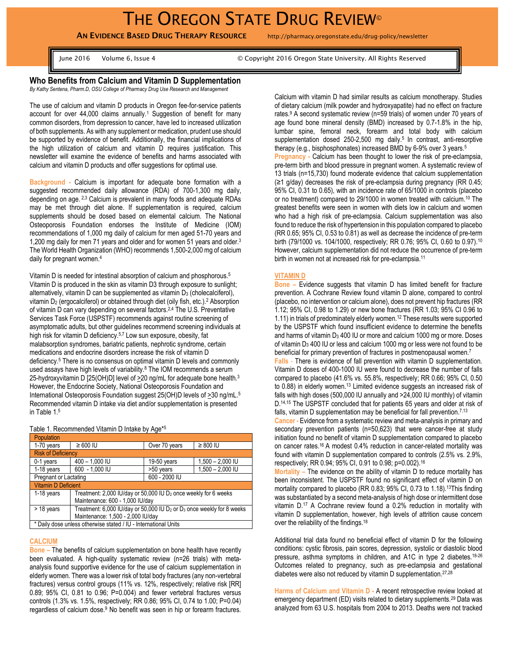**AN EVIDENCE BASED DRUG THERAPY RESOURCE** http://pharmacy.oregonstate.edu/drug-policy/newsletter

June 2016 Volume 6, Issue 4 © Copyright 2016 Oregon State University. All Rights Reserved

**Who Benefits from Calcium and Vitamin D Supplementation** *By Kathy Sentena, Pharm.D, OSU College of Pharmacy Drug Use Research and Management*

The use of calcium and vitamin D products in Oregon fee-for-service patients account for over 44,000 claims annually.<sup>1</sup> Suggestion of benefit for many common disorders, from depression to cancer, have led to increased utilization of both supplements. As with any supplement or medication, prudent use should be supported by evidence of benefit. Additionally, the financial implications of the high utilization of calcium and vitamin D requires justification. This newsletter will examine the evidence of benefits and harms associated with calcium and vitamin D products and offer suggestions for optimal use.

**Background -** Calcium is important for adequate bone formation with a suggested recommended daily allowance (RDA) of 700-1,300 mg daily, depending on age. 2,3 Calcium is prevalent in many foods and adequate RDAs may be met through diet alone. If supplementation is required, calcium supplements should be dosed based on elemental calcium. The National Osteoporosis Foundation endorses the Institute of Medicine (IOM) recommendations of 1,000 mg daily of calcium for men aged 51-70 years and 1,200 mg daily for men 71 years and older and for women 51 years and older.<sup>3</sup> The World Health Organization (WHO) recommends 1,500-2,000 mg of calcium daily for pregnant women. 4

Vitamin D is needed for intestinal absorption of calcium and phosphorous.<sup>5</sup> Vitamin D is produced in the skin as vitamin D3 through exposure to sunlight; alternatively, vitamin D can be supplemented as vitamin D<sub>3</sub> (cholecalciferol), vitamin D<sub>2</sub> (ergocalciferol) or obtained through diet (oily fish, etc.).<sup>2</sup> Absorption of vitamin D can vary depending on several factors.2,4 The U.S. Preventative Services Task Force (USPSTF) recommends against routine screening of asymptomatic adults, but other guidelines recommend screening individuals at high risk for vitamin D deficiency. 5,7 Low sun exposure, obesity, fat malabsorption syndromes, bariatric patients, nephrotic syndrome, certain medications and endocrine disorders increase the risk of vitamin D deficiency. <sup>5</sup> There is no consensus on optimal vitamin D levels and commonly used assays have high levels of variability.<sup>8</sup> The IOM recommends a serum 25-hydroxyvitamin D  $[25(OH)D]$  level of  $\geq 20$  ng/mL for adequate bone health.<sup>3</sup> However, the Endocrine Society, National Osteoporosis Foundation and International Osteoporosis Foundation suggest 25(OH)D levels of >30 ng/mL.<sup>5</sup> Recommended vitamin D intake via diet and/or supplementation is presented in Table 1.<sup>5</sup>

Table 1. Recommended Vitamin D Intake by Age\* 5

| Population                                                      |                                                                                                                |               |                    |
|-----------------------------------------------------------------|----------------------------------------------------------------------------------------------------------------|---------------|--------------------|
| 1-70 years                                                      | $\geq 600$ IU                                                                                                  | Over 70 years | $\geq 800$ IU      |
| <b>Risk of Deficiency</b>                                       |                                                                                                                |               |                    |
| 0-1 years                                                       | $400 - 1,000$ IU                                                                                               | $19-50$ years | $1,500 - 2,000$ IU |
| 1-18 years                                                      | 600 - 1,000 IU                                                                                                 | >50 years     | $1,500 - 2,000$ IU |
| Pregnant or Lactating                                           |                                                                                                                | 600 - 2000 IU |                    |
| <b>Vitamin D Deficient</b>                                      |                                                                                                                |               |                    |
| 1-18 years                                                      | Treatment: 2,000 IU/day or 50,000 IU D <sub>2</sub> once weekly for 6 weeks<br>Maintenance: 600 - 1,000 IU/day |               |                    |
| > 18 years                                                      | Treatment: 6,000 IU/day or 50,000 IU D <sub>2</sub> or D <sub>3</sub> once weekly for 8 weeks                  |               |                    |
|                                                                 | Maintenance: 1,500 - 2,000 IU/day                                                                              |               |                    |
| * Daily dose unless otherwise stated / IU - International Units |                                                                                                                |               |                    |

## **CALCIUM**

**Bone –** The benefits of calcium supplementation on bone health have recently been evaluated. A high-quality systematic review (n=26 trials) with metaanalysis found supportive evidence for the use of calcium supplementation in elderly women. There was a lower risk of total body fractures (any non-vertebral fractures) versus control groups (11% vs. 12%, respectively; relative risk [RR] 0.89; 95% CI, 0.81 to 0.96; P=0.004) and fewer vertebral fractures versus controls (1.3% vs. 1.5%, respectively; RR 0.86; 95% CI, 0.74 to 1.00; P=0.04) regardless of calcium dose.<sup>9</sup> No benefit was seen in hip or forearm fractures.

Calcium with vitamin D had similar results as calcium monotherapy. Studies of dietary calcium (milk powder and hydroxyapatite) had no effect on fracture rates.<sup>9</sup> A second systematic review (n=59 trials) of women under 70 years of age found bone mineral density (BMD) increased by 0.7-1.8% in the hip, lumbar spine, femoral neck, forearm and total body with calcium supplementation dosed 250-2,500 mg daily.<sup>5</sup> In contrast, anti-resorptive therapy (e.g., bisphosphonates) increased BMD by 6-9% over 3 years.<sup>5</sup> **Pregnancy -** Calcium has been thought to lower the risk of pre-eclampsia, pre-term birth and blood pressure in pregnant women. A systematic review of 13 trials (n=15,730) found moderate evidence that calcium supplementation  $(\geq 1)$  g/day) decreases the risk of pre-eclampsia during pregnancy (RR 0.45; 95% CI, 0.31 to 0.65), with an incidence rate of 65/1000 in controls (placebo or no treatment) compared to 29/1000 in women treated with calcium.<sup>10</sup> The greatest benefits were seen in women with diets low in calcium and women who had a high risk of pre-eclampsia. Calcium supplementation was also found to reduce the risk of hypertension in this population compared to placebo (RR 0.65; 95% CI, 0.53 to 0.81) as well as decrease the incidence of pre-term birth (79/1000 vs. 104/1000, respectively; RR 0.76; 95% CI, 0.60 to 0.97).<sup>10</sup> However, calcium supplementation did not reduce the occurrence of pre-term birth in women not at increased risk for pre-eclampsia.<sup>11</sup>

## **VITAMIN D**

**Bone –** Evidence suggests that vitamin D has limited benefit for fracture prevention. A Cochrane Review found vitamin D alone, compared to control (placebo, no intervention or calcium alone), does not prevent hip fractures (RR 1.12; 95% CI, 0.98 to 1.29) or new bone fractures (RR 1.03; 95% CI 0.96 to 1.11) in trials of predominately elderly women.<sup>12</sup> These results were supported by the USPSTF which found insufficient evidence to determine the benefits and harms of vitamin D<sub>3</sub> 400 IU or more and calcium 1000 mg or more. Doses of vitamin D<sup>3</sup> 400 IU or less and calcium 1000 mg or less were not found to be beneficial for primary prevention of fractures in postmenopausal women.<sup>7</sup>

**Falls** - There is evidence of fall prevention with vitamin D supplementation. Vitamin D doses of 400-1000 IU were found to decrease the number of falls compared to placebo (41.6% vs. 55.8%, respectively; RR 0.66; 95% CI, 0.50 to 0.88) in elderly women.<sup>13</sup> Limited evidence suggests an increased risk of falls with high doses (500,000 IU annually and >24,000 IU monthly) of vitamin D.<sup>14,15</sup> The USPSTF concluded that for patients 65 years and older at risk of falls, vitamin D supplementation may be beneficial for fall prevention. 7,13

**Cancer -** Evidence from a systematic review and meta-analysis in primary and secondary prevention patients (n=50,623) that were cancer-free at study initiation found no benefit of vitamin D supplementation compared to placebo on cancer rates.<sup>16</sup> A modest 0.4% reduction in cancer-related mortality was found with vitamin D supplementation compared to controls (2.5% vs. 2.9%, respectively; RR 0.94; 95% CI, 0.91 to 0.98; p=0.002).<sup>16</sup>

**Mortality –** The evidence on the ability of vitamin D to reduce mortality has been inconsistent. The USPSTF found no significant effect of vitamin D on mortality compared to placebo (RR 0.83; 95% CI, 0.73 to 1.18).<sup>13</sup>This finding was substantiated by a second meta-analysis of high dose or intermittent dose vitamin D.<sup>17</sup> A Cochrane review found a 0.2% reduction in mortality with vitamin D supplementation, however, high levels of attrition cause concern over the reliability of the findings.<sup>18</sup>

Additional trial data found no beneficial effect of vitamin D for the following conditions: cystic fibrosis, pain scores, depression, systolic or diastolic blood pressure, asthma symptoms in children, and A1C in type 2 diabetes.<sup>18-26</sup> Outcomes related to pregnancy, such as pre-eclampsia and gestational diabetes were also not reduced by vitamin D supplementation.27,28

**Harms of Calcium and Vitamin D -** A recent retrospective review looked at emergency department (ED) visits related to dietary supplements.<sup>29</sup> Data was analyzed from 63 U.S. hospitals from 2004 to 2013. Deaths were not tracked